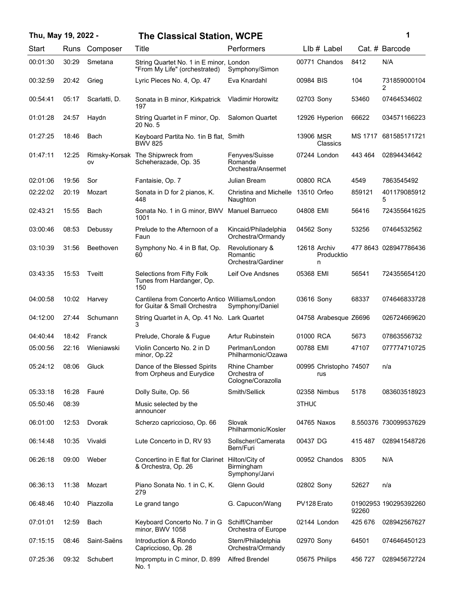| Thu, May 19, 2022 - |       |               | <b>The Classical Station, WCPE</b>                                             |                                                           |                                 |         | 1                     |
|---------------------|-------|---------------|--------------------------------------------------------------------------------|-----------------------------------------------------------|---------------------------------|---------|-----------------------|
| Start               |       | Runs Composer | Title                                                                          | Performers                                                | $Llb#$ Label                    |         | Cat. # Barcode        |
| 00:01:30            | 30:29 | Smetana       | String Quartet No. 1 in E minor, London<br>"From My Life" (orchestrated)       | Symphony/Simon                                            | 00771 Chandos                   | 8412    | N/A                   |
| 00:32:59            | 20:42 | Grieg         | Lyric Pieces No. 4, Op. 47                                                     | Eva Knardahl                                              | 00984 BIS                       | 104     | 731859000104<br>2     |
| 00:54:41            | 05:17 | Scarlatti, D. | Sonata in B minor, Kirkpatrick<br>197                                          | <b>Vladimir Horowitz</b>                                  | 02703 Sony                      | 53460   | 07464534602           |
| 01:01:28            | 24:57 | Haydn         | String Quartet in F minor, Op.<br>20 No. 5                                     | <b>Salomon Quartet</b>                                    | 12926 Hyperion                  | 66622   | 034571166223          |
| 01:27:25            | 18:46 | Bach          | Keyboard Partita No. 1in B flat, Smith<br><b>BWV 825</b>                       |                                                           | 13906 MSR<br>Classics           | MS 1717 | 681585171721          |
| 01:47:11            | 12:25 | ov            | Rimsky-Korsak The Shipwreck from<br>Scheherazade, Op. 35                       | Fenyves/Suisse<br>Romande<br>Orchestra/Ansermet           | 07244 London                    | 443 464 | 02894434642           |
| 02:01:06            | 19:56 | Sor           | Fantaisie, Op. 7                                                               | Julian Bream                                              | 00800 RCA                       | 4549    | 7863545492            |
| 02:22:02            | 20:19 | Mozart        | Sonata in D for 2 pianos, K.<br>448                                            | Christina and Michelle<br>Naughton                        | 13510 Orfeo                     | 859121  | 401179085912<br>5     |
| 02:43:21            | 15:55 | Bach          | Sonata No. 1 in G minor, BWV<br>1001                                           | <b>Manuel Barrueco</b>                                    | 04808 EMI                       | 56416   | 724355641625          |
| 03:00:46            | 08:53 | Debussy       | Prelude to the Afternoon of a<br>Faun                                          | Kincaid/Philadelphia<br>Orchestra/Ormandy                 | 04562 Sony                      | 53256   | 07464532562           |
| 03:10:39            | 31:56 | Beethoven     | Symphony No. 4 in B flat, Op.<br>60                                            | Revolutionary &<br>Romantic<br>Orchestra/Gardiner         | 12618 Archiv<br>Producktio<br>n |         | 4778643 028947786436  |
| 03:43:35            | 15:53 | Tveitt        | Selections from Fifty Folk<br>Tunes from Hardanger, Op.<br>150                 | Leif Ove Andsnes                                          | 05368 EMI                       | 56541   | 724355654120          |
| 04:00:58            | 10:02 | Harvey        | Cantilena from Concerto Antico Williams/London<br>for Guitar & Small Orchestra | Symphony/Daniel                                           | 03616 Sony                      | 68337   | 074646833728          |
| 04:12:00            | 27:44 | Schumann      | String Quartet in A, Op. 41 No. Lark Quartet<br>3                              |                                                           | 04758 Arabesque Z6696           |         | 026724669620          |
| 04:40:44            | 18:42 | Franck        | Prelude, Chorale & Fugue                                                       | Artur Rubinstein                                          | 01000 RCA                       | 5673    | 07863556732           |
| 05:00:56            | 22:16 | Wieniawski    | Violin Concerto No. 2 in D<br>minor, Op.22                                     | Perlman/London<br>Philharmonic/Ozawa                      | 00788 EMI                       | 47107   | 077774710725          |
| 05:24:12            | 08:06 | Gluck         | Dance of the Blessed Spirits<br>from Orpheus and Eurydice                      | <b>Rhine Chamber</b><br>Orchestra of<br>Cologne/Corazolla | 00995 Christopho 74507<br>rus   |         | n/a                   |
| 05:33:18            | 16:28 | Fauré         | Dolly Suite, Op. 56                                                            | Smith/Sellick                                             | 02358 Nimbus                    | 5178    | 083603518923          |
| 05:50:46            | 08:39 |               | Music selected by the<br>announcer                                             |                                                           | 3THUC                           |         |                       |
| 06:01:00            | 12:53 | Dvorak        | Scherzo capriccioso, Op. 66                                                    | Slovak<br>Philharmonic/Kosler                             | 04765 Naxos                     |         | 8.550376 730099537629 |
| 06:14:48            | 10:35 | Vivaldi       | Lute Concerto in D, RV 93                                                      | Sollscher/Camerata<br>Bern/Furi                           | 00437 DG                        | 415487  | 028941548726          |
| 06:26:18            | 09:00 | Weber         | Concertino in E flat for Clarinet<br>& Orchestra, Op. 26                       | Hilton/City of<br>Birmingham<br>Symphony/Jarvi            | 00952 Chandos                   | 8305    | N/A                   |
| 06:36:13            | 11:38 | Mozart        | Piano Sonata No. 1 in C, K.<br>279                                             | Glenn Gould                                               | 02802 Sony                      | 52627   | n/a                   |
| 06:48:46            | 10:40 | Piazzolla     | Le grand tango                                                                 | G. Capucon/Wang                                           | PV128 Erato                     | 92260   | 01902953 190295392260 |
| 07:01:01            | 12:59 | Bach          | Keyboard Concerto No. 7 in G<br>minor, BWV 1058                                | Schiff/Chamber<br>Orchestra of Europe                     | 02144 London                    | 425 676 | 028942567627          |
| 07:15:15            | 08:46 | Saint-Saëns   | Introduction & Rondo<br>Capriccioso, Op. 28                                    | Stern/Philadelphia<br>Orchestra/Ormandy                   | 02970 Sony                      | 64501   | 074646450123          |
| 07:25:36            | 09:32 | Schubert      | Impromptu in C minor, D. 899<br>No. 1                                          | Alfred Brendel                                            | 05675 Philips                   | 456 727 | 028945672724          |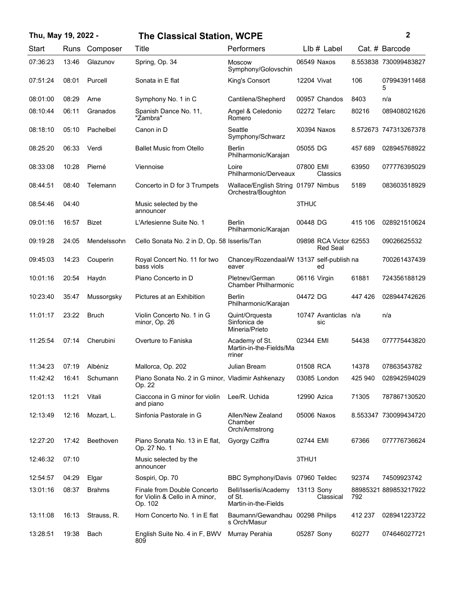| Thu, May 19, 2022 - |       |               | <b>The Classical Station, WCPE</b>                                       |                                                           |              |                                           |         | 2                     |
|---------------------|-------|---------------|--------------------------------------------------------------------------|-----------------------------------------------------------|--------------|-------------------------------------------|---------|-----------------------|
| Start               | Runs  | Composer      | Title                                                                    | Performers                                                |              | $Llb#$ Label                              |         | Cat. # Barcode        |
| 07:36:23            | 13:46 | Glazunov      | Spring, Op. 34                                                           | <b>Moscow</b><br>Symphony/Golovschin                      |              | 06549 Naxos                               |         | 8.553838 730099483827 |
| 07:51:24            | 08:01 | Purcell       | Sonata in E flat                                                         | King's Consort                                            | 12204 Vivat  |                                           | 106     | 079943911468<br>5     |
| 08:01:00            | 08:29 | Arne          | Symphony No. 1 in C                                                      | Cantilena/Shepherd                                        |              | 00957 Chandos                             | 8403    | n/a                   |
| 08:10:44            | 06:11 | Granados      | Spanish Dance No. 11.<br>"Żambra"                                        | Angel & Celedonio<br>Romero                               |              | 02272 Telarc                              | 80216   | 089408021626          |
| 08:18:10            | 05:10 | Pachelbel     | Canon in D                                                               | Seattle<br>Symphony/Schwarz                               |              | X0394 Naxos                               |         | 8.572673 747313267378 |
| 08:25:20            | 06:33 | Verdi         | <b>Ballet Music from Otello</b>                                          | Berlin<br>Philharmonic/Karajan                            | 05055 DG     |                                           | 457 689 | 028945768922          |
| 08:33:08            | 10:28 | Pierné        | Viennoise                                                                | Loire<br>Philharmonic/Derveaux                            | 07800 EMI    | Classics                                  | 63950   | 077776395029          |
| 08:44:51            | 08:40 | Telemann      | Concerto in D for 3 Trumpets                                             | Wallace/English String 01797 Nimbus<br>Orchestra/Boughton |              |                                           | 5189    | 083603518929          |
| 08:54:46            | 04:40 |               | Music selected by the<br>announcer                                       |                                                           | 3THUC        |                                           |         |                       |
| 09:01:16            | 16:57 | <b>Bizet</b>  | L'Arlesienne Suite No. 1                                                 | Berlin<br>Philharmonic/Karajan                            | 00448 DG     |                                           | 415 106 | 028921510624          |
| 09:19:28            | 24:05 | Mendelssohn   | Cello Sonata No. 2 in D, Op. 58 Isserlis/Tan                             |                                                           |              | 09898 RCA Victor 62553<br><b>Red Seal</b> |         | 09026625532           |
| 09:45:03            | 14:23 | Couperin      | Royal Concert No. 11 for two<br>bass viols                               | Chancey/Rozendaal/W 13137 self-publish na<br>eaver        |              | ed                                        |         | 700261437439          |
| 10:01:16            | 20:54 | Haydn         | Piano Concerto in D                                                      | Pletnev/German<br><b>Chamber Philharmonic</b>             | 06116 Virgin |                                           | 61881   | 724356188129          |
| 10:23:40            | 35:47 | Mussorgsky    | Pictures at an Exhibition                                                | Berlin<br>Philharmonic/Karajan                            | 04472 DG     |                                           | 447 426 | 028944742626          |
| 11:01:17            | 23:22 | <b>Bruch</b>  | Violin Concerto No. 1 in G<br>minor, Op. 26                              | Quint/Orquesta<br>Sinfonica de<br>Mineria/Prieto          |              | 10747 Avanticlas n/a<br>sic               |         | n/a                   |
| 11:25:54            | 07:14 | Cherubini     | Overture to Faniska                                                      | Academy of St.<br>Martin-in-the-Fields/Ma<br>rriner       | 02344 EMI    |                                           | 54438   | 077775443820          |
| 11:34:23            | 07:19 | Albéniz       | Mallorca, Op. 202                                                        | Julian Bream                                              | 01508 RCA    |                                           | 14378   | 07863543782           |
| 11:42:42            | 16:41 | Schumann      | Piano Sonata No. 2 in G minor, Vladimir Ashkenazy<br>Op. 22              |                                                           |              | 03085 London                              | 425 940 | 028942594029          |
| 12:01:13            | 11:21 | Vitali        | Ciaccona in G minor for violin<br>and piano                              | Lee/R. Uchida                                             | 12990 Azica  |                                           | 71305   | 787867130520          |
| 12:13:49            | 12:16 | Mozart, L.    | Sinfonia Pastorale in G                                                  | Allen/New Zealand<br>Chamber<br>Orch/Armstrong            |              | 05006 Naxos                               |         | 8.553347 730099434720 |
| 12:27:20            | 17:42 | Beethoven     | Piano Sonata No. 13 in E flat,<br>Op. 27 No. 1                           | Gyorgy Cziffra                                            | 02744 EMI    |                                           | 67366   | 077776736624          |
| 12:46:32            | 07:10 |               | Music selected by the<br>announcer                                       |                                                           | 3THU1        |                                           |         |                       |
| 12:54:57            | 04:29 | Elgar         | Sospiri, Op. 70                                                          | BBC Symphony/Davis 07960 Teldec                           |              |                                           | 92374   | 74509923742           |
| 13:01:16            | 08:37 | <b>Brahms</b> | Finale from Double Concerto<br>for Violin & Cello in A minor,<br>Op. 102 | Bell/Isserlis/Academy<br>of St.<br>Martin-in-the-Fields   | 13113 Sony   | Classical                                 | 792     | 88985321889853217922  |
| 13:11:08            | 16:13 | Strauss, R.   | Horn Concerto No. 1 in E flat                                            | Baumann/Gewandhau 00298 Philips<br>s Orch/Masur           |              |                                           | 412 237 | 028941223722          |
| 13:28:51            | 19:38 | Bach          | English Suite No. 4 in F, BWV<br>809                                     | Murray Perahia                                            | 05287 Sony   |                                           | 60277   | 074646027721          |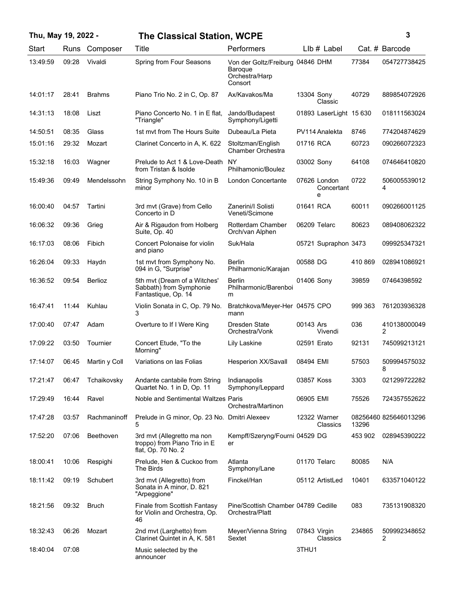| Thu, May 19, 2022 - |       |               | <b>The Classical Station, WCPE</b>                                               |                                                                          |              |                                 |         | 3                     |
|---------------------|-------|---------------|----------------------------------------------------------------------------------|--------------------------------------------------------------------------|--------------|---------------------------------|---------|-----------------------|
| Start               | Runs  | Composer      | Title                                                                            | Performers                                                               |              | LIb # Label                     |         | Cat. # Barcode        |
| 13:49:59            | 09:28 | Vivaldi       | Spring from Four Seasons                                                         | Von der Goltz/Freiburg 04846 DHM<br>Baroque<br>Orchestra/Harp<br>Consort |              |                                 | 77384   | 054727738425          |
| 14:01:17            | 28:41 | <b>Brahms</b> | Piano Trio No. 2 in C, Op. 87                                                    | Ax/Kavakos/Ma                                                            | 13304 Sony   | Classic                         | 40729   | 889854072926          |
| 14:31:13            | 18:08 | Liszt         | Piano Concerto No. 1 in E flat,<br>"Triangle"                                    | Jando/Budapest<br>Symphony/Ligetti                                       |              | 01893 LaserLight 15 630         |         | 018111563024          |
| 14:50:51            | 08:35 | Glass         | 1st mvt from The Hours Suite                                                     | Dubeau/La Pieta                                                          |              | PV114 Analekta                  | 8746    | 774204874629          |
| 15:01:16            | 29:32 | Mozart        | Clarinet Concerto in A, K. 622                                                   | Stoltzman/English<br>Chamber Orchestra                                   | 01716 RCA    |                                 | 60723   | 090266072323          |
| 15:32:18            | 16:03 | Wagner        | Prelude to Act 1 & Love-Death NY<br>from Tristan & Isolde                        | Philhamonic/Boulez                                                       | 03002 Sony   |                                 | 64108   | 074646410820          |
| 15:49:36            | 09:49 | Mendelssohn   | String Symphony No. 10 in B<br>minor                                             | London Concertante                                                       |              | 07626 London<br>Concertant<br>e | 0722    | 506005539012<br>4     |
| 16:00:40            | 04:57 | Tartini       | 3rd mvt (Grave) from Cello<br>Concerto in D                                      | Zanerini/I Solisti<br>Veneti/Scimone                                     | 01641 RCA    |                                 | 60011   | 090266001125          |
| 16:06:32            | 09:36 | Grieg         | Air & Rigaudon from Holberg<br>Suite, Op. 40                                     | Rotterdam Chamber<br>Orch/van Alphen                                     |              | 06209 Telarc                    | 80623   | 089408062322          |
| 16:17:03            | 08:06 | Fibich        | Concert Polonaise for violin<br>and piano                                        | Suk/Hala                                                                 |              | 05721 Supraphon 3473            |         | 099925347321          |
| 16:26:04            | 09:33 | Haydn         | 1st mvt from Symphony No.<br>094 in G, "Surprise"                                | Berlin<br>Philharmonic/Karajan                                           | 00588 DG     |                                 | 410 869 | 028941086921          |
| 16:36:52            | 09:54 | Berlioz       | 5th mvt (Dream of a Witches'<br>Sabbath) from Symphonie<br>Fantastique, Op. 14   | <b>Berlin</b><br>Philharmonic/Barenboi<br>m                              | 01406 Sony   |                                 | 39859   | 07464398592           |
| 16:47:41            | 11:44 | Kuhlau        | Violin Sonata in C, Op. 79 No.<br>3                                              | Bratchkova/Meyer-Her 04575 CPO<br>mann                                   |              |                                 | 999 363 | 761203936328          |
| 17:00:40            | 07:47 | Adam          | Overture to If I Were King                                                       | Dresden State<br>Orchestra/Vonk                                          | 00143 Ars    | Vivendi                         | 036     | 410138000049<br>2     |
| 17:09:22            | 03:50 | Tournier      | Concert Etude, "To the<br>Morning"                                               | Lily Laskine                                                             | 02591 Erato  |                                 | 92131   | 745099213121          |
| 17:14:07            | 06:45 | Martin y Coll | Variations on las Folias                                                         | <b>Hesperion XX/Savall</b>                                               | 08494 EMI    |                                 | 57503   | 509994575032<br>8     |
| 17:21:47            | 06:47 | Tchaikovsky   | Andante cantabile from String<br>Quartet No. 1 in D, Op. 11                      | Indianapolis<br>Symphony/Leppard                                         | 03857 Koss   |                                 | 3303    | 021299722282          |
| 17:29:49            | 16:44 | Ravel         | Noble and Sentimental Waltzes Paris                                              | Orchestra/Martinon                                                       | 06905 EMI    |                                 | 75526   | 724357552622          |
| 17:47:28            | 03:57 | Rachmaninoff  | Prelude in G minor, Op. 23 No. Dmitri Alexeev<br>5                               |                                                                          |              | 12322 Warner<br>Classics        | 13296   | 08256460 825646013296 |
| 17:52:20            | 07:06 | Beethoven     | 3rd mvt (Allegretto ma non<br>troppo) from Piano Trio in E<br>flat, Op. 70 No. 2 | Kempff/Szeryng/Fourni 04529 DG<br>er                                     |              |                                 | 453 902 | 028945390222          |
| 18:00:41            | 10:06 | Respighi      | Prelude, Hen & Cuckoo from<br>The Birds                                          | Atlanta<br>Symphony/Lane                                                 |              | 01170 Telarc                    | 80085   | N/A                   |
| 18:11:42            | 09:19 | Schubert      | 3rd mvt (Allegretto) from<br>Sonata in A minor, D. 821<br>"Arpeggione"           | Finckel/Han                                                              |              | 05112 ArtistLed                 | 10401   | 633571040122          |
| 18:21:56            | 09:32 | <b>Bruch</b>  | Finale from Scottish Fantasy<br>for Violin and Orchestra, Op.<br>46              | Pine/Scottish Chamber 04789 Cedille<br>Orchestra/Platt                   |              |                                 | 083     | 735131908320          |
| 18:32:43            | 06:26 | Mozart        | 2nd mvt (Larghetto) from<br>Clarinet Quintet in A, K. 581                        | Meyer/Vienna String<br>Sextet                                            | 07843 Virgin | Classics                        | 234865  | 509992348652<br>2     |

07:08 Music selected by the 3THU1859

announcer

18:40:04